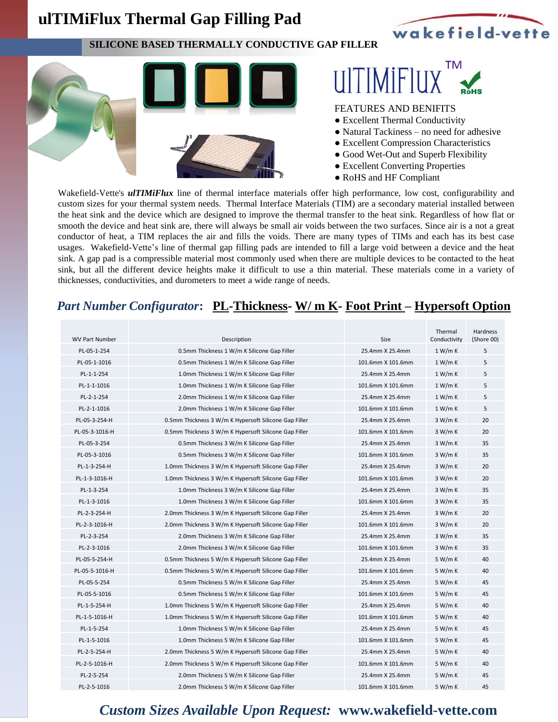## **ulTIMiFlux Thermal Gap Filling Pad**



**SILICONE BASED THERMALLY CONDUCTIVE GAP FILLER** 



ТM **UITIMIFIL** 

#### FEATURES AND BENIFITS

- Excellent Thermal Conductivity
- Natural Tackiness no need for adhesive
- Excellent Compression Characteristics
- Good Wet-Out and Superb Flexibility
- Excellent Converting Properties
- RoHS and HF Compliant

Wakefield-Vette's **ulTIMiFlux** line of thermal interface materials offer high performance, low cost, configurability and custom sizes for your thermal system needs. Thermal Interface Materials (TIM) are a secondary material installed between the heat sink and the device which are designed to improve the thermal transfer to the heat sink. Regardless of how flat or smooth the device and heat sink are, there will always be small air voids between the two surfaces. Since air is a not a great conductor of heat, a TIM replaces the air and fills the voids. There are many types of TIMs and each has its best case usages. Wakefield-Vette's line of thermal gap filling pads are intended to fill a large void between a device and the heat sink. A gap pad is a compressible material most commonly used when there are multiple devices to be contacted to the heat sink, but all the different device heights make it difficult to use a thin material. These materials come in a variety of thicknesses, conductivities, and durometers to meet a wide range of needs.

#### *Part Number Configurator***: PL-Thickness- W/ m K- Foot Print – Hypersoft Option**

| <b>WV Part Number</b> | Description                                           | Size              | Thermal<br>Conductivity | Hardness<br>(Shore 00) |
|-----------------------|-------------------------------------------------------|-------------------|-------------------------|------------------------|
| PL-05-1-254           | 0.5mm Thickness 1 W/m K Silicone Gap Filler           | 25.4mm X 25.4mm   | 1 W/m K                 | 5                      |
| PL-05-1-1016          | 0.5mm Thickness 1 W/m K Silicone Gap Filler           | 101.6mm X 101.6mm | 1 W/m K                 | 5                      |
| PL-1-1-254            | 1.0mm Thickness 1 W/m K Silicone Gap Filler           | 25.4mm X 25.4mm   | 1 W/m K                 | 5                      |
| PL-1-1-1016           | 1.0mm Thickness 1 W/m K Silicone Gap Filler           | 101.6mm X 101.6mm | 1 W/m K                 | 5                      |
| PL-2-1-254            | 2.0mm Thickness 1 W/m K Silicone Gap Filler           | 25.4mm X 25.4mm   | 1 W/m K                 | 5                      |
| PL-2-1-1016           | 2.0mm Thickness 1 W/m K Silicone Gap Filler           | 101.6mm X 101.6mm | 1 W/m K                 | 5                      |
| PL-05-3-254-H         | 0.5mm Thickness 3 W/m K Hypersoft Silicone Gap Filler | 25.4mm X 25.4mm   | 3 W/m K                 | 20                     |
| PL-05-3-1016-H        | 0.5mm Thickness 3 W/m K Hypersoft Silicone Gap Filler | 101.6mm X 101.6mm | 3 W/m K                 | 20                     |
| PL-05-3-254           | 0.5mm Thickness 3 W/m K Silicone Gap Filler           | 25.4mm X 25.4mm   | 3 W/m K                 | 35                     |
| PL-05-3-1016          | 0.5mm Thickness 3 W/m K Silicone Gap Filler           | 101.6mm X 101.6mm | 3 W/m K                 | 35                     |
| PL-1-3-254-H          | 1.0mm Thickness 3 W/m K Hypersoft Silicone Gap Filler | 25.4mm X 25.4mm   | 3 W/m K                 | 20                     |
| PL-1-3-1016-H         | 1.0mm Thickness 3 W/m K Hypersoft Silicone Gap Filler | 101.6mm X 101.6mm | 3 W/m K                 | 20                     |
| PL-1-3-254            | 1.0mm Thickness 3 W/m K Silicone Gap Filler           | 25.4mm X 25.4mm   | 3 W/m K                 | 35                     |
| PL-1-3-1016           | 1.0mm Thickness 3 W/m K Silicone Gap Filler           | 101.6mm X 101.6mm | 3 W/m K                 | 35                     |
| PL-2-3-254-H          | 2.0mm Thickness 3 W/m K Hypersoft Silicone Gap Filler | 25.4mm X 25.4mm   | 3 W/m K                 | 20                     |
| PL-2-3-1016-H         | 2.0mm Thickness 3 W/m K Hypersoft Silicone Gap Filler | 101.6mm X 101.6mm | 3 W/m K                 | 20                     |
| PL-2-3-254            | 2.0mm Thickness 3 W/m K Silicone Gap Filler           | 25.4mm X 25.4mm   | 3 W/m K                 | 35                     |
| PL-2-3-1016           | 2.0mm Thickness 3 W/m K Silicone Gap Filler           | 101.6mm X 101.6mm | 3 W/m K                 | 35                     |
| PL-05-5-254-H         | 0.5mm Thickness 5 W/m K Hypersoft Silicone Gap Filler | 25.4mm X 25.4mm   | 5 W/m K                 | 40                     |
| PL-05-5-1016-H        | 0.5mm Thickness 5 W/m K Hypersoft Silicone Gap Filler | 101.6mm X 101.6mm | 5 W/m K                 | 40                     |
| PL-05-5-254           | 0.5mm Thickness 5 W/m K Silicone Gap Filler           | 25.4mm X 25.4mm   | 5 W/m K                 | 45                     |
| PL-05-5-1016          | 0.5mm Thickness 5 W/m K Silicone Gap Filler           | 101.6mm X 101.6mm | 5 W/m K                 | 45                     |
| PL-1-5-254-H          | 1.0mm Thickness 5 W/m K Hypersoft Silicone Gap Filler | 25.4mm X 25.4mm   | 5 W/m K                 | 40                     |
| PL-1-5-1016-H         | 1.0mm Thickness 5 W/m K Hypersoft Silicone Gap Filler | 101.6mm X 101.6mm | 5 W/m K                 | 40                     |
| PL-1-5-254            | 1.0mm Thickness 5 W/m K Silicone Gap Filler           | 25.4mm X 25.4mm   | 5 W/m K                 | 45                     |
| PL-1-5-1016           | 1.0mm Thickness 5 W/m K Silicone Gap Filler           | 101.6mm X 101.6mm | 5 W/m K                 | 45                     |
| PL-2-5-254-H          | 2.0mm Thickness 5 W/m K Hypersoft Silicone Gap Filler | 25.4mm X 25.4mm   | 5 W/m K                 | 40                     |
| PL-2-5-1016-H         | 2.0mm Thickness 5 W/m K Hypersoft Silicone Gap Filler | 101.6mm X 101.6mm | 5 W/m K                 | 40                     |
| PL-2-5-254            | 2.0mm Thickness 5 W/m K Silicone Gap Filler           | 25.4mm X 25.4mm   | 5 W/m K                 | 45                     |
| PL-2-5-1016           | 2.0mm Thickness 5 W/m K Silicone Gap Filler           | 101.6mm X 101.6mm | 5 W/m K                 | 45                     |

## *Custom Sizes Available Upon Request:* **www.wakefield-vette.com**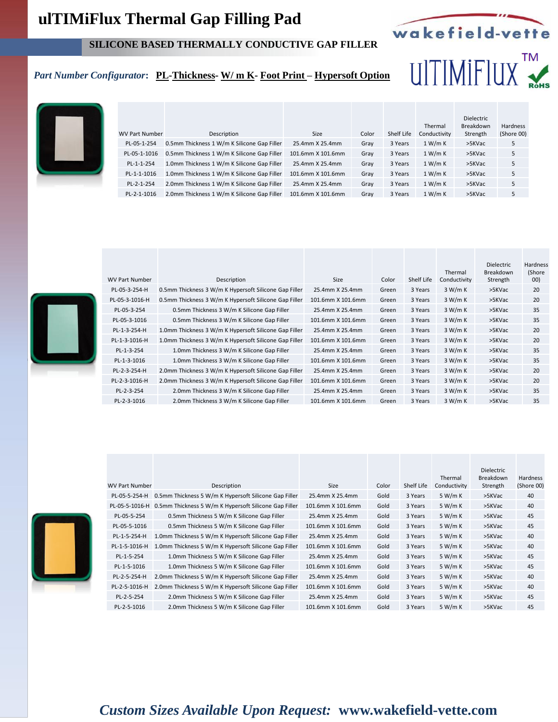## **ulTIMiFlux Thermal Gap Filling Pad**

 $\Box$ 



#### **SILICONE BASED THERMALLY CONDUCTIVE GAP FILLER**

#### *Part Number Configurator***: PL-Thickness- W/ m K- Foot Print – Hypersoft Option**

## UITIMIFIUX

Hardness (Shore 00)

| <b>WV Part Number</b> | Description                                 | <b>Size</b>       | Color | Shelf Life | Thermal<br>Conductivity | <b>Dielectric</b><br>Breakdown<br>Strength | Hard<br>(Shore |
|-----------------------|---------------------------------------------|-------------------|-------|------------|-------------------------|--------------------------------------------|----------------|
| PL-05-1-254           | 0.5mm Thickness 1 W/m K Silicone Gap Filler | 25.4mm X 25.4mm   | Gray  | 3 Years    | 1 W/m K                 | >5KVac                                     | 5              |
| PL-05-1-1016          | 0.5mm Thickness 1 W/m K Silicone Gap Filler | 101.6mm X 101.6mm | Gray  | 3 Years    | 1 W/m K                 | >5KVac                                     | 5              |
| PL-1-1-254            | 1.0mm Thickness 1 W/m K Silicone Gap Filler | 25.4mm X 25.4mm   | Gray  | 3 Years    | 1 W/m K                 | >5KVac                                     | 5              |
| PL-1-1-1016           | 1.0mm Thickness 1 W/m K Silicone Gap Filler | 101.6mm X 101.6mm | Gray  | 3 Years    | 1 W/m K                 | >5KVac                                     | 5              |
| PL-2-1-254            | 2.0mm Thickness 1 W/m K Silicone Gap Filler | 25.4mm X 25.4mm   | Gray  | 3 Years    | 1 W/m K                 | >5KVac                                     | 5              |
| PL-2-1-1016           | 2.0mm Thickness 1 W/m K Silicone Gap Filler | 101.6mm X 101.6mm | Gray  | 3 Years    | 1 W/m K                 | >5KVac                                     | 5              |

| <b>WV Part Number</b> | Description                                           | <b>Size</b>       | Color | Shelf Life | Thermal<br>Conductivity | <b>Dielectric</b><br>Breakdown<br>Strength | Hardness<br>(Shore<br>$ 00\rangle$ |
|-----------------------|-------------------------------------------------------|-------------------|-------|------------|-------------------------|--------------------------------------------|------------------------------------|
| PL-05-3-254-H         | 0.5mm Thickness 3 W/m K Hypersoft Silicone Gap Filler | 25.4mm X 25.4mm   | Green | 3 Years    | 3 W/m K                 | >5KVac                                     | 20                                 |
| PL-05-3-1016-H        | 0.5mm Thickness 3 W/m K Hypersoft Silicone Gap Filler | 101.6mm X 101.6mm | Green | 3 Years    | 3 W/m K                 | >5KVac                                     | 20                                 |
| PL-05-3-254           | 0.5mm Thickness 3 W/m K Silicone Gap Filler           | 25.4mm X 25.4mm   | Green | 3 Years    | 3 W/m K                 | >5KVac                                     | 35                                 |
| PL-05-3-1016          | 0.5mm Thickness 3 W/m K Silicone Gap Filler           | 101.6mm X 101.6mm | Green | 3 Years    | 3 W/m K                 | >5KVac                                     | 35                                 |
| PL-1-3-254-H          | 1.0mm Thickness 3 W/m K Hypersoft Silicone Gap Filler | 25.4mm X 25.4mm   | Green | 3 Years    | 3 W/m K                 | >5KVac                                     | 20                                 |
| PL-1-3-1016-H         | 1.0mm Thickness 3 W/m K Hypersoft Silicone Gap Filler | 101.6mm X 101.6mm | Green | 3 Years    | 3 W/m K                 | >5KVac                                     | 20                                 |
| PL-1-3-254            | 1.0mm Thickness 3 W/m K Silicone Gap Filler           | 25.4mm X 25.4mm   | Green | 3 Years    | 3 W/m K                 | >5KVac                                     | 35                                 |
| PL-1-3-1016           | 1.0mm Thickness 3 W/m K Silicone Gap Filler           | 101.6mm X 101.6mm | Green | 3 Years    | 3 W/m K                 | >5KVac                                     | 35                                 |
| PL-2-3-254-H          | 2.0mm Thickness 3 W/m K Hypersoft Silicone Gap Filler | 25.4mm X 25.4mm   | Green | 3 Years    | 3 W/m K                 | >5KVac                                     | 20                                 |
| PL-2-3-1016-H         | 2.0mm Thickness 3 W/m K Hypersoft Silicone Gap Filler | 101.6mm X 101.6mm | Green | 3 Years    | 3 W/m K                 | >5KVac                                     | 20                                 |
| PL-2-3-254            | 2.0mm Thickness 3 W/m K Silicone Gap Filler           | 25.4mm X 25.4mm   | Green | 3 Years    | 3 W/m K                 | >5KVac                                     | 35                                 |
| PL-2-3-1016           | 2.0mm Thickness 3 W/m K Silicone Gap Filler           | 101.6mm X 101.6mm | Green | 3 Years    | 3 W/m K                 | >5KVac                                     | 35                                 |

|                       |                                                       |                   |       |            | Thermal      | <b>Dielectric</b><br>Breakdown | Hardness   |
|-----------------------|-------------------------------------------------------|-------------------|-------|------------|--------------|--------------------------------|------------|
| <b>WV Part Number</b> | Description                                           | Size              | Color | Shelf Life | Conductivity | Strength                       | (Shore 00) |
| PL-05-5-254-H         | 0.5mm Thickness 5 W/m K Hypersoft Silicone Gap Filler | 25.4mm X 25.4mm   | Gold  | 3 Years    | 5 W/m K      | >5KVac                         | 40         |
| PL-05-5-1016-H        | 0.5mm Thickness 5 W/m K Hypersoft Silicone Gap Filler | 101.6mm X 101.6mm | Gold  | 3 Years    | 5 W/m K      | >5KVac                         | 40         |
| PL-05-5-254           | 0.5mm Thickness 5 W/m K Silicone Gap Filler           | 25.4mm X 25.4mm   | Gold  | 3 Years    | 5 W/m K      | >5KVac                         | 45         |
| PL-05-5-1016          | 0.5mm Thickness 5 W/m K Silicone Gap Filler           | 101.6mm X 101.6mm | Gold  | 3 Years    | 5 W/m K      | >5KVac                         | 45         |
| PL-1-5-254-H          | 1.0mm Thickness 5 W/m K Hypersoft Silicone Gap Filler | 25.4mm X 25.4mm   | Gold  | 3 Years    | 5 W/m K      | >5KVac                         | 40         |
| PL-1-5-1016-H         | 1.0mm Thickness 5 W/m K Hypersoft Silicone Gap Filler | 101.6mm X 101.6mm | Gold  | 3 Years    | 5 W/m K      | >5KVac                         | 40         |
| PL-1-5-254            | 1.0mm Thickness 5 W/m K Silicone Gap Filler           | 25.4mm X 25.4mm   | Gold  | 3 Years    | 5 W/m K      | >5KVac                         | 45         |
| PL-1-5-1016           | 1.0mm Thickness 5 W/m K Silicone Gap Filler           | 101.6mm X 101.6mm | Gold  | 3 Years    | 5 W/m K      | >5KVac                         | 45         |
| PL-2-5-254-H          | 2.0mm Thickness 5 W/m K Hypersoft Silicone Gap Filler | 25.4mm X 25.4mm   | Gold  | 3 Years    | 5 W/m K      | >5KVac                         | 40         |
| PL-2-5-1016-H         | 2.0mm Thickness 5 W/m K Hypersoft Silicone Gap Filler | 101.6mm X 101.6mm | Gold  | 3 Years    | 5 W/m K      | >5KVac                         | 40         |
| PL-2-5-254            | 2.0mm Thickness 5 W/m K Silicone Gap Filler           | 25.4mm X 25.4mm   | Gold  | 3 Years    | 5 W/m K      | >5KVac                         | 45         |
| PL-2-5-1016           | 2.0mm Thickness 5 W/m K Silicone Gap Filler           | 101.6mm X 101.6mm | Gold  | 3 Years    | 5 W/m K      | >5KVac                         | 45         |

## *Custom Sizes Available Upon Request:* **www.wakefield-vette.com**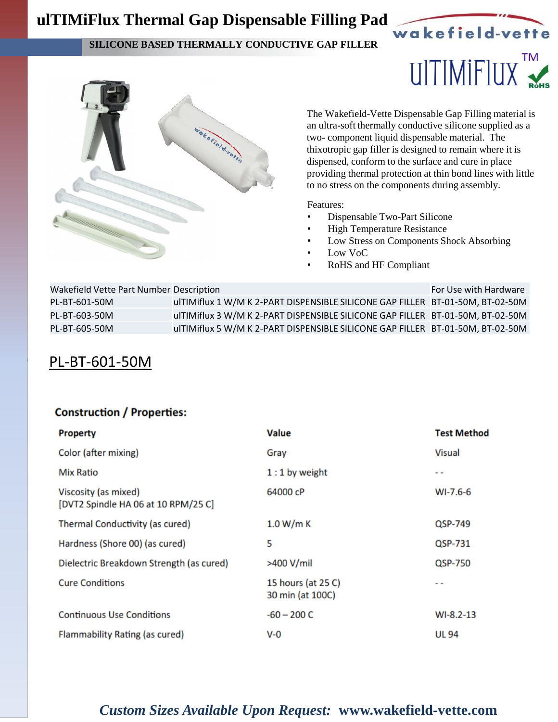## **ulTIMiFlux Thermal Gap Dispensable Filling Pad**

#### **SILICONE BASED THERMALLY CONDUCTIVE GAP FILLER**





The Wakefield-Vette Dispensable Gap Filling material is an ultra-soft thermally conductive silicone supplied as a two- component liquid dispensable material. The thixotropic gap filler is designed to remain where it is dispensed, conform to the surface and cure in place providing thermal protection at thin bond lines with little to no stress on the components during assembly.

Features:

- Dispensable Two-Part Silicone
- High Temperature Resistance
- Low Stress on Components Shock Absorbing
- Low VoC
- RoHS and HF Compliant

| Wakefield Vette Part Number Description |                                                                                | For Use with Hardware |
|-----------------------------------------|--------------------------------------------------------------------------------|-----------------------|
| PL-BT-601-50M                           | ulTIMiflux 1 W/M K 2-PART DISPENSIBLE SILICONE GAP FILLER BT-01-50M, BT-02-50M |                       |
| PL-BT-603-50M                           | ulTIMiflux 3 W/M K 2-PART DISPENSIBLE SILICONE GAP FILLER BT-01-50M, BT-02-50M |                       |
| PL-BT-605-50M                           | ulTIMiflux 5 W/M K 2-PART DISPENSIBLE SILICONE GAP FILLER BT-01-50M, BT-02-50M |                       |

## PL-BT-601-50M

#### **Construction / Properties:**

| <b>Property</b>                                             | <b>Value</b>                           | <b>Test Method</b> |
|-------------------------------------------------------------|----------------------------------------|--------------------|
| Color (after mixing)                                        | Gray                                   | <b>Visual</b>      |
| Mix Ratio                                                   | $1:1$ by weight                        | - -                |
| Viscosity (as mixed)<br>[DVT2 Spindle HA 06 at 10 RPM/25 C] | 64000 cP                               | $W1-7.6-6$         |
| Thermal Conductivity (as cured)                             | 1.0 W/m K                              | QSP-749            |
| Hardness (Shore 00) (as cured)                              | 5                                      | QSP-731            |
| Dielectric Breakdown Strength (as cured)                    | >400 V/mil                             | QSP-750            |
| <b>Cure Conditions</b>                                      | 15 hours (at 25 C)<br>30 min (at 100C) | - -                |
| <b>Continuous Use Conditions</b>                            | $-60 - 200$ C                          | $WI-8.2-13$        |
| Flammability Rating (as cured)                              | V-0                                    | <b>UL 94</b>       |

## *Custom Sizes Available Upon Request:* **www.wakefield-vette.com**